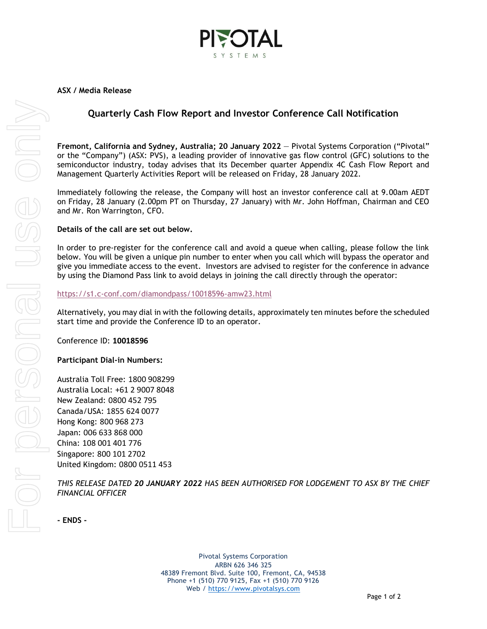

# **Quarterly Cash Flow Report and Investor Conference Call Notification**

**Fremont, California and Sydney, Australia; 20 January 2022** — Pivotal Systems Corporation ("Pivotal" or the "Company") (ASX: PVS), a leading provider of innovative gas flow control (GFC) solutions to the semiconductor industry, today advises that its December quarter Appendix 4C Cash Flow Report and Management Quarterly Activities Report will be released on Friday, 28 January 2022.

Immediately following the release, the Company will host an investor conference call at 9.00am AEDT on Friday, 28 January (2.00pm PT on Thursday, 27 January) with Mr. John Hoffman, Chairman and CEO and Mr. Ron Warrington, CFO.

## **Details of the call are set out below.**

In order to pre-register for the conference call and avoid a queue when calling, please follow the link below. You will be given a unique pin number to enter when you call which will bypass the operator and give you immediate access to the event. Investors are advised to register for the conference in advance by using the Diamond Pass link to avoid delays in joining the call directly through the operator:

#### <https://s1.c-conf.com/diamondpass/10018596-amw23.html>

Alternatively, you may dial in with the following details, approximately ten minutes before the scheduled start time and provide the Conference ID to an operator.

#### Conference ID: **10018596**

## **Participant Dial-in Numbers:**

Australia Toll Free: 1800 908299 Australia Local: +61 2 9007 8048 New Zealand: 0800 452 795 Canada/USA: 1855 624 0077 Hong Kong: 800 968 273 Japan: 006 633 868 000 China: 108 001 401 776 Singapore: 800 101 2702 United Kingdom: 0800 0511 453

*THIS RELEASE DATED 20 JANUARY 2022 HAS BEEN AUTHORISED FOR LODGEMENT TO ASX BY THE CHIEF FINANCIAL OFFICER*

**- ENDS -**